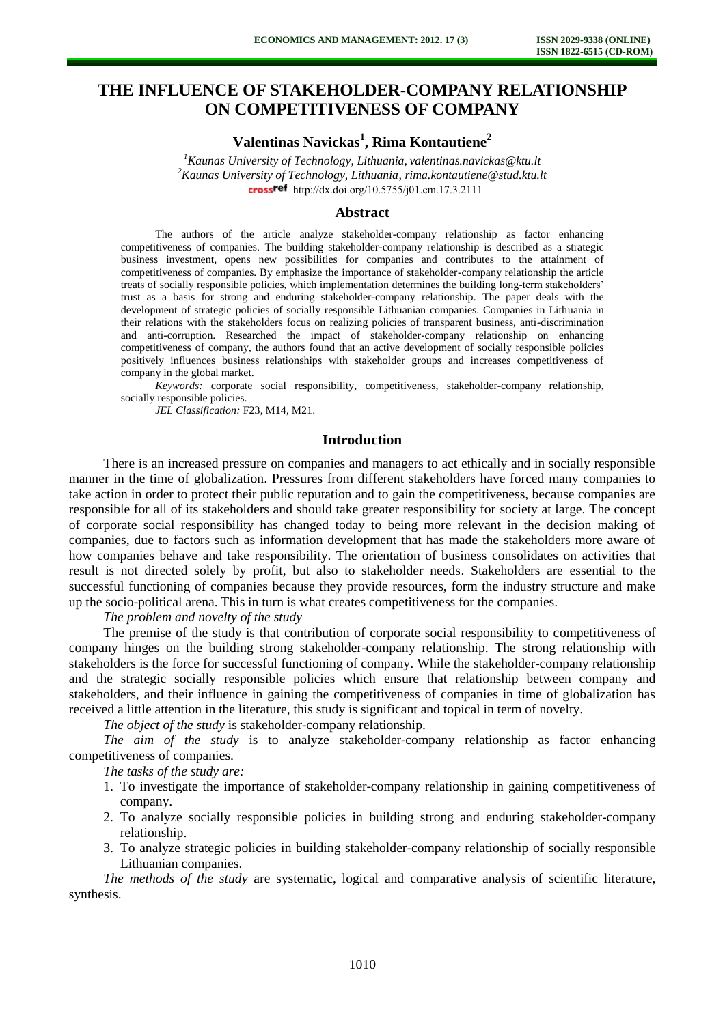# **THE INFLUENCE OF STAKEHOLDER-COMPANY RELATIONSHIP ON COMPETITIVENESS OF COMPANY**

**Valentinas Navickas<sup>1</sup> , Rima Kontautiene<sup>2</sup>**

*<sup>1</sup>Kaunas University of Technology, Lithuania, valentinas.navickas@ktu.lt <sup>2</sup>Kaunas University of Technology, Lithuania[, rima.kontautiene@stud.ktu.lt](mailto:rima.kontautiene@ktu.lt)* crossref [http://dx.doi.org/10.5755/j01.e](http://dx.doi.org/10.5755/j01.em.17.3.2111)m.17.3.2111

### **Abstract**

The authors of the article analyze stakeholder-company relationship as factor enhancing competitiveness of companies. The building stakeholder-company relationship is described as a strategic business investment, opens new possibilities for companies and contributes to the attainment of competitiveness of companies. By emphasize the importance of stakeholder-company relationship the article treats of socially responsible policies, which implementation determines the building long-term stakeholders' trust as a basis for strong and enduring stakeholder-company relationship. The paper deals with the development of strategic policies of socially responsible Lithuanian companies. Companies in Lithuania in their relations with the stakeholders focus on realizing policies of transparent business, anti-discrimination and anti-corruption. Researched the impact of stakeholder-company relationship on enhancing competitiveness of company, the authors found that an active development of socially responsible policies positively influences business relationships with stakeholder groups and increases competitiveness of company in the global market.

*Keywords:* corporate social responsibility, competitiveness, stakeholder-company relationship, socially responsible policies.

*JEL Classification:* F23, M14, M21.

#### **Introduction**

There is an increased pressure on companies and managers to act ethically and in socially responsible manner in the time of globalization. Pressures from different stakeholders have forced many companies to take action in order to protect their public reputation and to gain the competitiveness, because companies are responsible for all of its stakeholders and should take greater responsibility for society at large. The concept of corporate social responsibility has changed today to being more relevant in the decision making of companies, due to factors such as information development that has made the stakeholders more aware of how companies behave and take responsibility. The orientation of business consolidates on activities that result is not directed solely by profit, but also to stakeholder needs. Stakeholders are essential to the successful functioning of companies because they provide resources, form the industry structure and make up the socio-political arena. This in turn is what creates competitiveness for the companies.

*The problem and novelty of the study* 

The premise of the study is that contribution of corporate social responsibility to competitiveness of company hinges on the building strong stakeholder-company relationship. The strong relationship with stakeholders is the force for successful functioning of company. While the stakeholder-company relationship and the strategic socially responsible policies which ensure that relationship between company and stakeholders, and their influence in gaining the competitiveness of companies in time of globalization has received a little attention in the literature, this study is significant and topical in term of novelty.

*The object of the study* is stakeholder-company relationship.

*The aim of the study* is to analyze stakeholder-company relationship as factor enhancing competitiveness of companies.

*The tasks of the study are:* 

- 1. To investigate the importance of stakeholder-company relationship in gaining competitiveness of company.
- 2. To analyze socially responsible policies in building strong and enduring stakeholder-company relationship.
- 3. To analyze strategic policies in building stakeholder-company relationship of socially responsible Lithuanian companies.

*The methods of the study* are systematic, logical and comparative analysis of scientific literature, synthesis.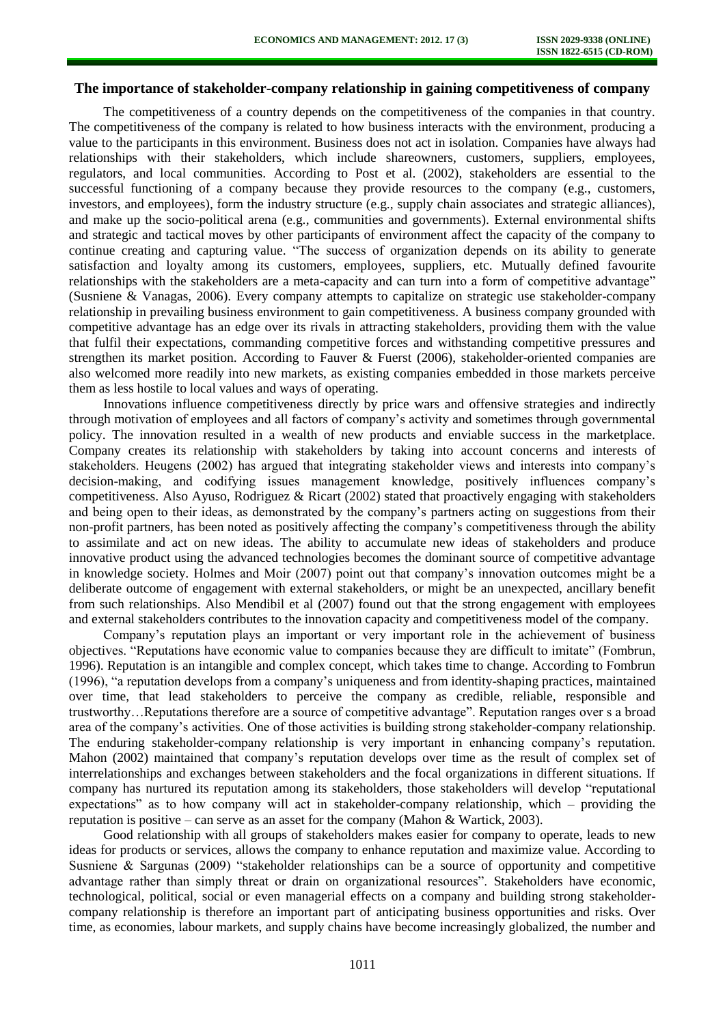# **The importance of stakeholder-company relationship in gaining competitiveness of company**

The competitiveness of a country depends on the competitiveness of the companies in that country. The competitiveness of the company is related to how business interacts with the environment, producing a value to the participants in this environment. Business does not act in isolation. Companies have always had relationships with their stakeholders, which include shareowners, customers, suppliers, employees, regulators, and local communities. According to Post et al. (2002), stakeholders are essential to the successful functioning of a company because they provide resources to the company (e.g., customers, investors, and employees), form the industry structure (e.g., supply chain associates and strategic alliances), and make up the socio-political arena (e.g., communities and governments). External environmental shifts and strategic and tactical moves by other participants of environment affect the capacity of the company to continue creating and capturing value. "The success of organization depends on its ability to generate satisfaction and loyalty among its customers, employees, suppliers, etc. Mutually defined favourite relationships with the stakeholders are a meta-capacity and can turn into a form of competitive advantage" (Susniene & Vanagas, 2006). Every company attempts to capitalize on strategic use stakeholder-company relationship in prevailing business environment to gain competitiveness. A business company grounded with competitive advantage has an edge over its rivals in attracting stakeholders, providing them with the value that fulfil their expectations, commanding competitive forces and withstanding competitive pressures and strengthen its market position. According to Fauver & Fuerst (2006), stakeholder-oriented companies are also welcomed more readily into new markets, as existing companies embedded in those markets perceive them as less hostile to local values and ways of operating.

Innovations influence competitiveness directly by price wars and offensive strategies and indirectly through motivation of employees and all factors of company's activity and sometimes through governmental policy. The innovation resulted in a wealth of new products and enviable success in the marketplace. Company creates its relationship with stakeholders by taking into account concerns and interests of stakeholders. Heugens (2002) has argued that integrating stakeholder views and interests into company's decision-making, and codifying issues management knowledge, positively influences company's competitiveness. Also Ayuso, Rodriguez & Ricart (2002) stated that proactively engaging with stakeholders and being open to their ideas, as demonstrated by the company's partners acting on suggestions from their non-profit partners, has been noted as positively affecting the company's competitiveness through the ability to assimilate and act on new ideas. The ability to accumulate new ideas of stakeholders and produce innovative product using the advanced technologies becomes the dominant source of competitive advantage in knowledge society. Holmes and Moir (2007) point out that company's innovation outcomes might be a deliberate outcome of engagement with external stakeholders, or might be an unexpected, ancillary benefit from such relationships. Also Mendibil et al (2007) found out that the strong engagement with employees and external stakeholders contributes to the innovation capacity and competitiveness model of the company.

Company's reputation plays an important or very important role in the achievement of business objectives. "Reputations have economic value to companies because they are difficult to imitate" (Fombrun, 1996). Reputation is an intangible and complex concept, which takes time to change. According to Fombrun (1996), "a reputation develops from a company's uniqueness and from identity-shaping practices, maintained over time, that lead stakeholders to perceive the company as credible, reliable, responsible and trustworthy…Reputations therefore are a source of competitive advantage". Reputation ranges over s a broad area of the company's activities. One of those activities is building strong stakeholder-company relationship. The enduring stakeholder-company relationship is very important in enhancing company's reputation. Mahon (2002) maintained that company's reputation develops over time as the result of complex set of interrelationships and exchanges between stakeholders and the focal organizations in different situations. If company has nurtured its reputation among its stakeholders, those stakeholders will develop "reputational expectations" as to how company will act in stakeholder-company relationship, which – providing the reputation is positive – can serve as an asset for the company (Mahon & Wartick, 2003).

Good relationship with all groups of stakeholders makes easier for company to operate, leads to new ideas for products or services, allows the company to enhance reputation and maximize value. According to Susniene & Sargunas (2009) "stakeholder relationships can be a source of opportunity and competitive advantage rather than simply threat or drain on organizational resources". Stakeholders have economic, technological, political, social or even managerial effects on a company and building strong stakeholdercompany relationship is therefore an important part of anticipating business opportunities and risks. Over time, as economies, labour markets, and supply chains have become increasingly globalized, the number and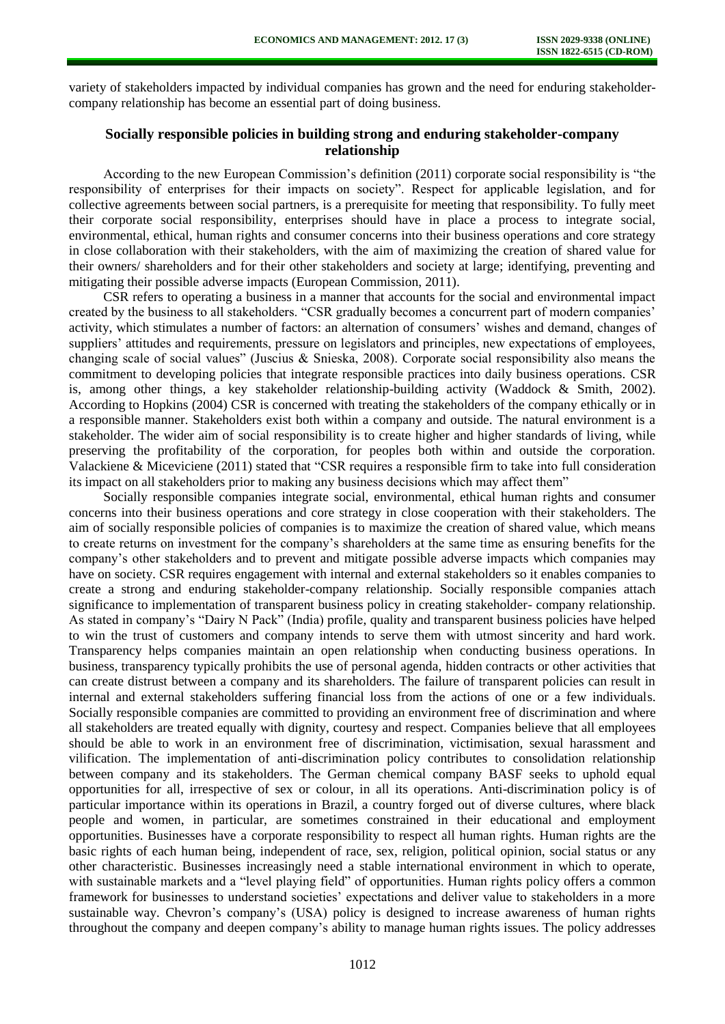variety of stakeholders impacted by individual companies has grown and the need for enduring stakeholdercompany relationship has become an essential part of doing business.

# **Socially responsible policies in building strong and enduring stakeholder-company relationship**

According to the new European Commission's definition (2011) corporate social responsibility is "the responsibility of enterprises for their impacts on society". Respect for applicable legislation, and for collective agreements between social partners, is a prerequisite for meeting that responsibility. To fully meet their corporate social responsibility, enterprises should have in place a process to integrate social, environmental, ethical, human rights and consumer concerns into their business operations and core strategy in close collaboration with their stakeholders, with the aim of maximizing the creation of shared value for their owners/ shareholders and for their other stakeholders and society at large; identifying, preventing and mitigating their possible adverse impacts (European Commission, 2011).

CSR refers to operating a business in a manner that accounts for the social and environmental impact created by the business to all stakeholders. "CSR gradually becomes a concurrent part of modern companies' activity, which stimulates a number of factors: an alternation of consumers' wishes and demand, changes of suppliers' attitudes and requirements, pressure on legislators and principles, new expectations of employees, changing scale of social values" (Juscius & Snieska, 2008). Corporate social responsibility also means the commitment to developing policies that integrate responsible practices into daily business operations. CSR is, among other things, a key stakeholder relationship-building activity (Waddock & Smith, 2002). According to Hopkins (2004) CSR is concerned with treating the stakeholders of the company ethically or in a responsible manner. Stakeholders exist both within a company and outside. The natural environment is a stakeholder. The wider aim of social responsibility is to create higher and higher standards of living, while preserving the profitability of the corporation, for peoples both within and outside the corporation. Valackiene & Miceviciene (2011) stated that "CSR requires a responsible firm to take into full consideration its impact on all stakeholders prior to making any business decisions which may affect them"

Socially responsible companies integrate social, environmental, ethical human rights and consumer concerns into their business operations and core strategy in close cooperation with their stakeholders. The aim of socially responsible policies of companies is to maximize the creation of shared value, which means to create returns on investment for the company's shareholders at the same time as ensuring benefits for the company's other stakeholders and to prevent and mitigate possible adverse impacts which companies may have on society. CSR requires engagement with internal and external stakeholders so it enables companies to create a strong and enduring stakeholder-company relationship. Socially responsible companies attach significance to implementation of transparent business policy in creating stakeholder- company relationship. As stated in company's "Dairy N Pack" (India) profile, quality and transparent business policies have helped to win the trust of customers and company intends to serve them with utmost sincerity and hard work. Transparency helps companies maintain an open relationship when conducting business operations. In business, transparency typically prohibits the use of personal agenda, hidden contracts or other activities that can create distrust between a company and its shareholders. The failure of transparent policies can result in internal and external stakeholders suffering financial loss from the actions of one or a few individuals. Socially responsible companies are committed to providing an environment free of discrimination and where all stakeholders are treated equally with dignity, courtesy and respect. Companies believe that all employees should be able to work in an environment free of discrimination, victimisation, sexual harassment and vilification. The implementation of anti-discrimination policy contributes to consolidation relationship between company and its stakeholders. The German chemical company BASF seeks to uphold equal opportunities for all, irrespective of sex or colour, in all its operations. Anti-discrimination policy is of particular importance within its operations in Brazil, a country forged out of diverse cultures, where black people and women, in particular, are sometimes constrained in their educational and employment opportunities. Businesses have a corporate responsibility to respect all human rights. Human rights are the basic rights of each human being, independent of race, sex, religion, political opinion, social status or any other characteristic. Businesses increasingly need a stable international environment in which to operate, with sustainable markets and a "level playing field" of opportunities. Human rights policy offers a common framework for businesses to understand societies' expectations and deliver value to stakeholders in a more sustainable way. Chevron's company's (USA) policy is designed to increase awareness of human rights throughout the company and deepen company's ability to manage human rights issues. The policy addresses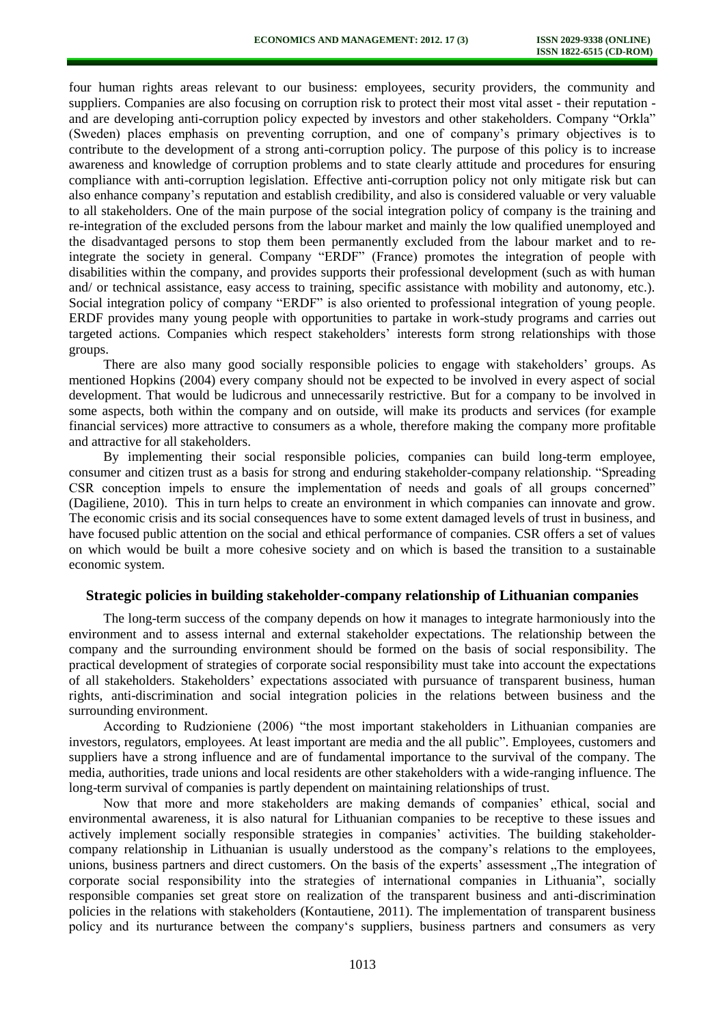four human rights areas relevant to our business: employees, security providers, the community and suppliers. Companies are also focusing on corruption risk to protect their most vital asset - their reputation and are developing anti-corruption policy expected by investors and other stakeholders. Company "Orkla" (Sweden) places emphasis on preventing corruption, and one of company's primary objectives is to contribute to the development of a strong anti-corruption policy. The purpose of this policy is to increase awareness and knowledge of corruption problems and to state clearly attitude and procedures for ensuring compliance with anti-corruption legislation. Effective anti-corruption policy not only mitigate risk but can also enhance company's reputation and establish credibility, and also is considered valuable or very valuable to all stakeholders. One of the main purpose of the social integration policy of company is the training and re-integration of the excluded persons from the labour market and mainly the low qualified unemployed and the disadvantaged persons to stop them been permanently excluded from the labour market and to reintegrate the society in general. Company "ERDF" (France) promotes the integration of people with disabilities within the company, and provides supports their professional development (such as with human and/ or technical assistance, easy access to training, specific assistance with mobility and autonomy, etc.). Social integration policy of company "ERDF" is also oriented to professional integration of young people. ERDF provides many young people with opportunities to partake in work-study programs and carries out targeted actions. Companies which respect stakeholders' interests form strong relationships with those groups.

There are also many good socially responsible policies to engage with stakeholders' groups. As mentioned Hopkins (2004) every company should not be expected to be involved in every aspect of social development. That would be ludicrous and unnecessarily restrictive. But for a company to be involved in some aspects, both within the company and on outside, will make its products and services (for example financial services) more attractive to consumers as a whole, therefore making the company more profitable and attractive for all stakeholders.

By implementing their social responsible policies, companies can build long-term employee, consumer and citizen trust as a basis for strong and enduring stakeholder-company relationship. "Spreading CSR conception impels to ensure the implementation of needs and goals of all groups concerned" (Dagiliene, 2010). This in turn helps to create an environment in which companies can innovate and grow. The economic crisis and its social consequences have to some extent damaged levels of trust in business, and have focused public attention on the social and ethical performance of companies. CSR offers a set of values on which would be built a more cohesive society and on which is based the transition to a sustainable economic system.

### **Strategic policies in building stakeholder-company relationship of Lithuanian companies**

The long-term success of the company depends on how it manages to integrate harmoniously into the environment and to assess internal and external stakeholder expectations. The relationship between the company and the surrounding environment should be formed on the basis of social responsibility. The practical development of strategies of corporate social responsibility must take into account the expectations of all stakeholders. Stakeholders' expectations associated with pursuance of transparent business, human rights, anti-discrimination and social integration policies in the relations between business and the surrounding environment.

According to Rudzioniene (2006) "the most important stakeholders in Lithuanian companies are investors, regulators, employees. At least important are media and the all public". Employees, customers and suppliers have a strong influence and are of fundamental importance to the survival of the company. The media, authorities, trade unions and local residents are other stakeholders with a wide-ranging influence. The long-term survival of companies is partly dependent on maintaining relationships of trust.

Now that more and more stakeholders are making demands of companies' ethical, social and environmental awareness, it is also natural for Lithuanian companies to be receptive to these issues and actively implement socially responsible strategies in companies' activities. The building stakeholdercompany relationship in Lithuanian is usually understood as the company's relations to the employees, unions, business partners and direct customers. On the basis of the experts' assessment "The integration of corporate social responsibility into the strategies of international companies in Lithuania", socially responsible companies set great store on realization of the transparent business and anti-discrimination policies in the relations with stakeholders (Kontautiene, 2011). The implementation of transparent business policy and its nurturance between the company's suppliers, business partners and consumers as very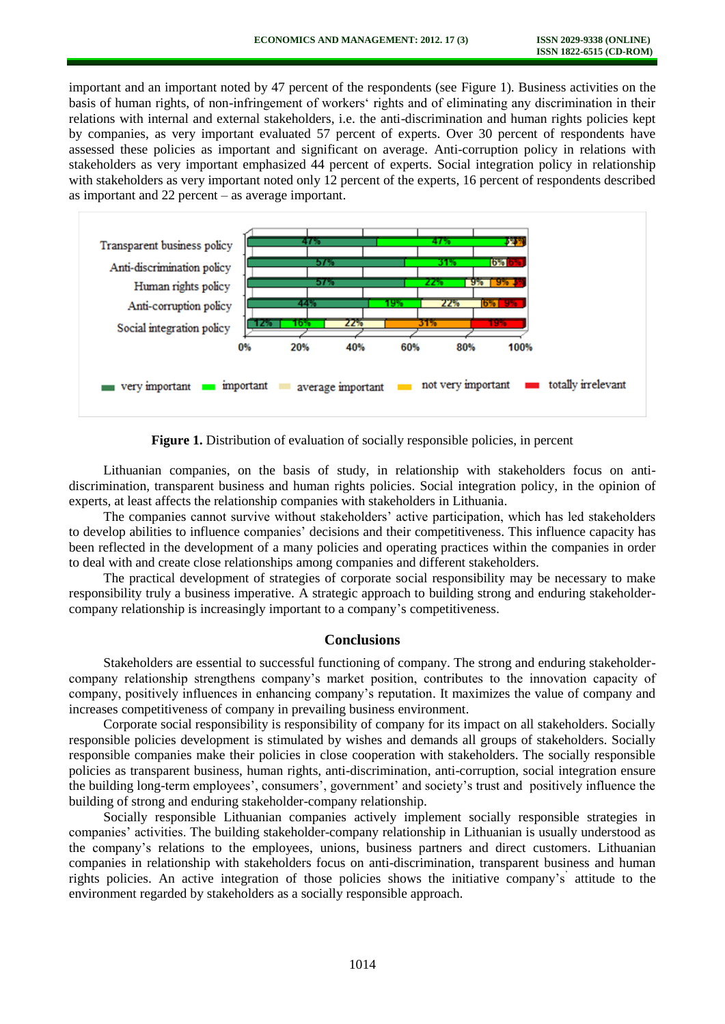important and an important noted by 47 percent of the respondents (see Figure 1). Business activities on the basis of human rights, of non-infringement of workers' rights and of eliminating any discrimination in their relations with internal and external stakeholders, i.e. the anti-discrimination and human rights policies kept by companies, as very important evaluated 57 percent of experts. Over 30 percent of respondents have assessed these policies as important and significant on average. Anti-corruption policy in relations with stakeholders as very important emphasized 44 percent of experts. Social integration policy in relationship with stakeholders as very important noted only 12 percent of the experts, 16 percent of respondents described as important and 22 percent – as average important.



**Figure 1.** Distribution of evaluation of socially responsible policies, in percent

Lithuanian companies, on the basis of study, in relationship with stakeholders focus on antidiscrimination, transparent business and human rights policies. Social integration policy, in the opinion of experts, at least affects the relationship companies with stakeholders in Lithuania.

The companies cannot survive without stakeholders' active participation, which has led stakeholders to develop abilities to influence companies' decisions and their competitiveness. This influence capacity has been reflected in the development of a many policies and operating practices within the companies in order to deal with and create close relationships among companies and different stakeholders.

The practical development of strategies of corporate social responsibility may be necessary to make responsibility truly a business imperative. A strategic approach to building strong and enduring stakeholdercompany relationship is increasingly important to a company's competitiveness.

### **Conclusions**

Stakeholders are essential to successful functioning of company. The strong and enduring stakeholdercompany relationship strengthens company's market position, contributes to the innovation capacity of company, positively influences in enhancing company's reputation. It maximizes the value of company and increases competitiveness of company in prevailing business environment.

Corporate social responsibility is responsibility of company for its impact on all stakeholders. Socially responsible policies development is stimulated by wishes and demands all groups of stakeholders. Socially responsible companies make their policies in close cooperation with stakeholders. The socially responsible policies as transparent business, human rights, anti-discrimination, anti-corruption, social integration ensure the building long-term employees', consumers', government' and society's trust and positively influence the building of strong and enduring stakeholder-company relationship.

Socially responsible Lithuanian companies actively implement socially responsible strategies in companies' activities. The building stakeholder-company relationship in Lithuanian is usually understood as the company's relations to the employees, unions, business partners and direct customers. Lithuanian companies in relationship with stakeholders focus on anti-discrimination, transparent business and human rights policies. An active integration of those policies shows the initiative company's' attitude to the environment regarded by stakeholders as a socially responsible approach.